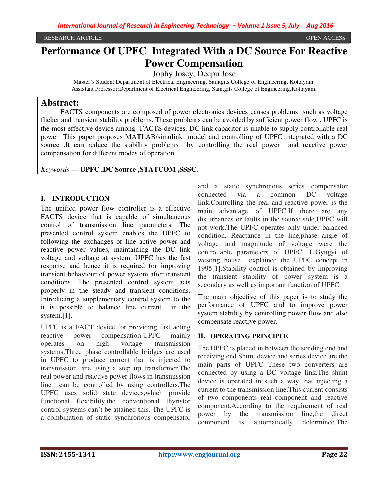# **Performance Of UPFC Integrated With a DC Source For Reactive Power Compensation**

Jophy Josey, Deepu Jose

Master's Student:Department of Electrical Engineering, Saintgits College of Engineering, Kottayam. Assistant Professor:Department of Electrical Engineering, Saintgits College of Engineering,Kottayam.

### **Abstract:**

 FACTS components are composed of power electronics devices causes problems such as voltage flicker and transient stability problems. These problems can be avoided by sufficient power flow . UPFC is the most effective device among FACTS devices. DC link capacitor is unable to supply controllable real power .This paper proposes MATLAB/simulink model and controlling of UPFC integrated with a DC source .It can reduce the stability problems by controlling the real power and reactive power compensation for different modes of operation.

#### *Keywords* **— UPFC ,DC Source ,STATCOM ,SSSC.**

#### **I. INTRODUCTION**

The unified power flow controller is a effective FACTS device that is capable of simultaneous control of transmission line parameters. The presented control system enables the UPFC to following the exchanges of line active power and reactive power values, maintaining the DC link voltage and voltage at system. UPFC has the fast response and hence it is required for improving transient behaviour of power system after transient conditions. The presented control system acts properly in the steady and transient conditions. Introducing a supplementary control system to the it is possible to balance line current in the system.[1].

UPFC is a FACT device for providing fast acting reactive power compensation.UPFC mainly operates on high voltage transmission systems.Three phase controllable bridges are used in UPFC to produce current that is injected to transmission line using a step up transformer.The real power and reactive power flows in transmission line can be controlled by using controllers.The UPFC uses solid state devices,which provide functional flexibility,the conventional thyristor control systems can't be attained this. The UPFC is a combination of static synchronous compensator

and a static synchronous series compensator connected via a common DC voltage link.Controlling the real and reactive power is the main advantage of UPFC.If there are any disturbances or faults in the source side,UPFC will not work.The UPFC operates only under balanced condition. Reactance in the line,phase angle of voltage and magnitude of voltage were the controllable parameters of UPFC. L.Gyugyi of westing house explained the UPFC concept in 1995[1].Stability control is obtained by improving the transient stability of power system is a secondary as well as important function of UPFC.

The main objective of this paper is to study the performance of UPFC and to improve power system stability by controlling power flow and also compensate reactive power.

#### **II. OPERATING PRINCIPLE**

The UPFC is placed in between the sending end and receiving end.Shunt device and series device are the main parts of UPFC These two converters are connected by using a DC voltage link.The shunt device is operated in such a way that injecting a current to the transmission line.This current consists of two components real component and reactive component.According to the requirement of real power by the transmission line,the direct component is automatically determined.The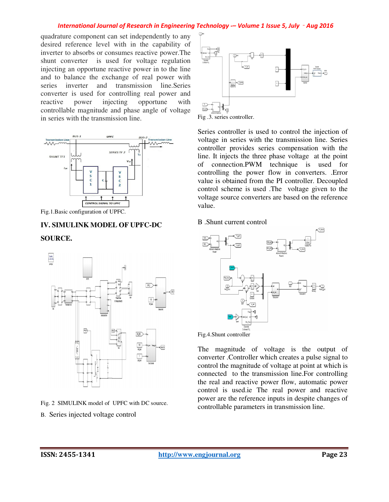#### *International Journal of Research in Engineering Technology -– Volume 1 Issue 5, July*‐*Aug 2016*

quadrature component can set independently to any desired reference level with in the capability of inverter to absorbs or consumes reactive power.The shunt converter is used for voltage regulation injecting an opportune reactive power in to the line and to balance the exchange of real power with series inverter and transmission line.Series converter is used for controlling real power and reactive power injecting opportune with controllable magnitude and phase angle of voltage in series with the transmission line.



Fig.1.Basic configuration of UPFC.

## **IV. SIMULINK MODEL OF UPFC-DC SOURCE.**



Fig. 2 SIMULINK model of UPFC with DC source.

B. Series injected voltage control



Fig .3. series controller.

Series controller is used to control the injection of voltage in series with the transmission line. Series controller provides series compensation with the line. It injects the three phase voltage at the point of connection.PWM technique is used for controlling the power flow in converters. .Error value is obtained from the PI controller. Decoupled control scheme is used .The voltage given to the voltage source converters are based on the reference value.

B .Shunt current control



The magnitude of voltage is the output of converter .Controller which creates a pulse signal to control the magnitude of voltage at point at which is connected to the transmission line.For controlling the real and reactive power flow, automatic power control is used.ie The real power and reactive power are the reference inputs in despite changes of controllable parameters in transmission line.